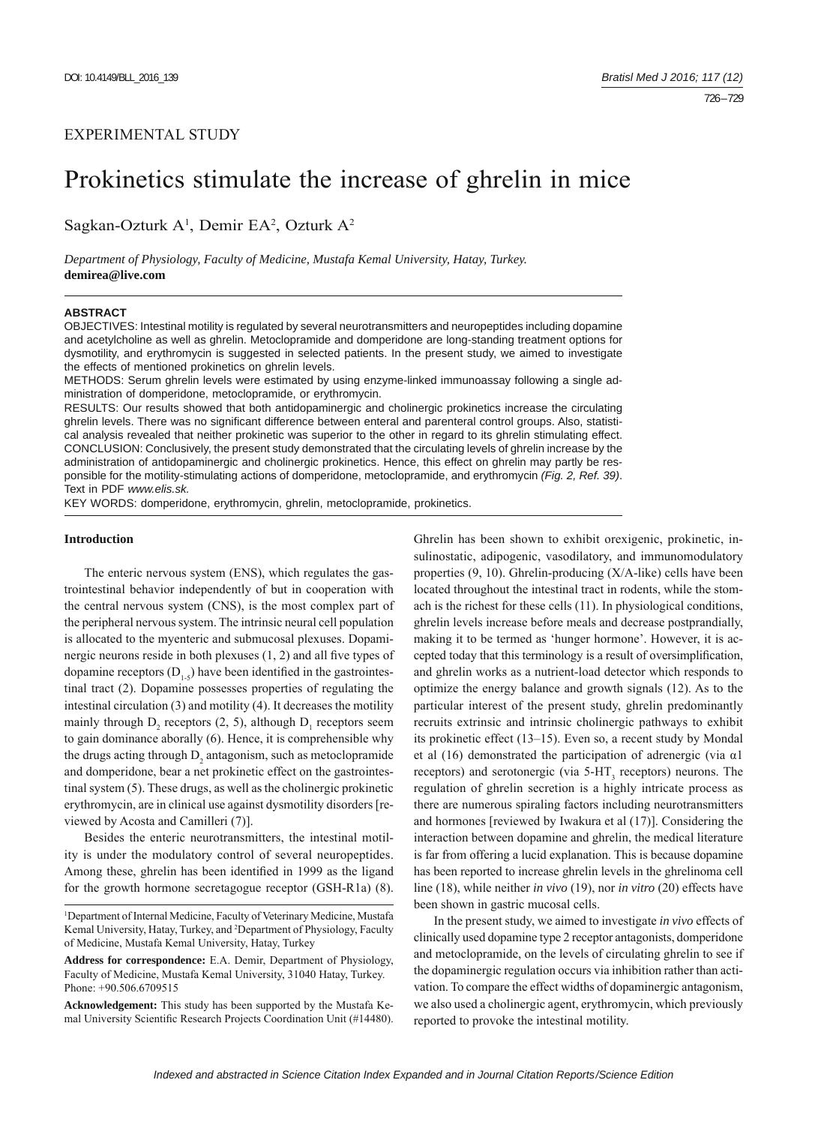# Prokinetics stimulate the increase of ghrelin in mice

Sagkan-Ozturk A<sup>1</sup>, Demir EA<sup>2</sup>, Ozturk A<sup>2</sup>

*Department of Physiology, Faculty of Medicine, Mustafa Kemal University, Hatay, Turkey.*  **demirea@live.com**

### **ABSTRACT**

OBJECTIVES: Intestinal motility is regulated by several neurotransmitters and neuropeptides including dopamine and acetylcholine as well as ghrelin. Metoclopramide and domperidone are long-standing treatment options for dysmotility, and erythromycin is suggested in selected patients. In the present study, we aimed to investigate the effects of mentioned prokinetics on ghrelin levels.

METHODS: Serum ghrelin levels were estimated by using enzyme-linked immunoassay following a single administration of domperidone, metoclopramide, or erythromycin.

RESULTS: Our results showed that both antidopaminergic and cholinergic prokinetics increase the circulating ghrelin levels. There was no significant difference between enteral and parenteral control groups. Also, statistical analysis revealed that neither prokinetic was superior to the other in regard to its ghrelin stimulating effect. CONCLUSION: Conclusively, the present study demonstrated that the circulating levels of ghrelin increase by the administration of antidopaminergic and cholinergic prokinetics. Hence, this effect on ghrelin may partly be responsible for the motility-stimulating actions of domperidone, metoclopramide, and erythromycin *(Fig. 2, Ref. 39)*. Text in PDF *www.elis.sk.*

KEY WORDS: domperidone, erythromycin, ghrelin, metoclopramide, prokinetics.

#### **Introduction**

The enteric nervous system (ENS), which regulates the gastrointestinal behavior independently of but in cooperation with the central nervous system (CNS), is the most complex part of the peripheral nervous system. The intrinsic neural cell population is allocated to the myenteric and submucosal plexuses. Dopaminergic neurons reside in both plexuses  $(1, 2)$  and all five types of dopamine receptors  $(D_{1,5})$  have been identified in the gastrointestinal tract (2). Dopamine possesses properties of regulating the intestinal circulation (3) and motility (4). It decreases the motility mainly through  $D_2$  receptors (2, 5), although  $D_1$  receptors seem to gain dominance aborally (6). Hence, it is comprehensible why the drugs acting through  $D_2$  antagonism, such as metoclopramide and domperidone, bear a net prokinetic effect on the gastrointestinal system (5). These drugs, as well as the cholinergic prokinetic erythromycin, are in clinical use against dysmotility disorders [reviewed by Acosta and Camilleri (7)].

Besides the enteric neurotransmitters, the intestinal motility is under the modulatory control of several neuropeptides. Among these, ghrelin has been identified in 1999 as the ligand for the growth hormone secretagogue receptor (GSH-R1a) (8).

**Acknowledgement:** This study has been supported by the Mustafa Kemal University Scientific Research Projects Coordination Unit (#14480).

Ghrelin has been shown to exhibit orexigenic, prokinetic, insulinostatic, adipogenic, vasodilatory, and immunomodulatory properties (9, 10). Ghrelin-producing (X/A-like) cells have been located throughout the intestinal tract in rodents, while the stomach is the richest for these cells (11). In physiological conditions, ghrelin levels increase before meals and decrease postprandially, making it to be termed as 'hunger hormone'. However, it is accepted today that this terminology is a result of oversimplification, and ghrelin works as a nutrient-load detector which responds to optimize the energy balance and growth signals (12). As to the particular interest of the present study, ghrelin predominantly recruits extrinsic and intrinsic cholinergic pathways to exhibit its prokinetic effect (13–15). Even so, a recent study by Mondal et al (16) demonstrated the participation of adrenergic (via  $\alpha$ 1 receptors) and serotonergic (via  $5-HT<sub>3</sub>$  receptors) neurons. The regulation of ghrelin secretion is a highly intricate process as there are numerous spiraling factors including neurotransmitters and hormones [reviewed by Iwakura et al (17)]. Considering the interaction between dopamine and ghrelin, the medical literature is far from offering a lucid explanation. This is because dopamine has been reported to increase ghrelin levels in the ghrelinoma cell line (18), while neither *in vivo* (19), nor *in vitro* (20) effects have been shown in gastric mucosal cells.

In the present study, we aimed to investigate *in vivo* effects of clinically used dopamine type 2 receptor antagonists, domperidone and metoclopramide, on the levels of circulating ghrelin to see if the dopaminergic regulation occurs via inhibition rather than activation. To compare the effect widths of dopaminergic antagonism, we also used a cholinergic agent, erythromycin, which previously reported to provoke the intestinal motility.

<sup>&</sup>lt;sup>1</sup>Department of Internal Medicine, Faculty of Veterinary Medicine, Mustafa Kemal University, Hatay, Turkey, and 2 Department of Physiology, Faculty of Medicine, Mustafa Kemal University, Hatay, Turkey

**Address for correspondence:** E.A. Demir, Department of Physiology, Faculty of Medicine, Mustafa Kemal University, 31040 Hatay, Turkey. Phone: +90.506.6709515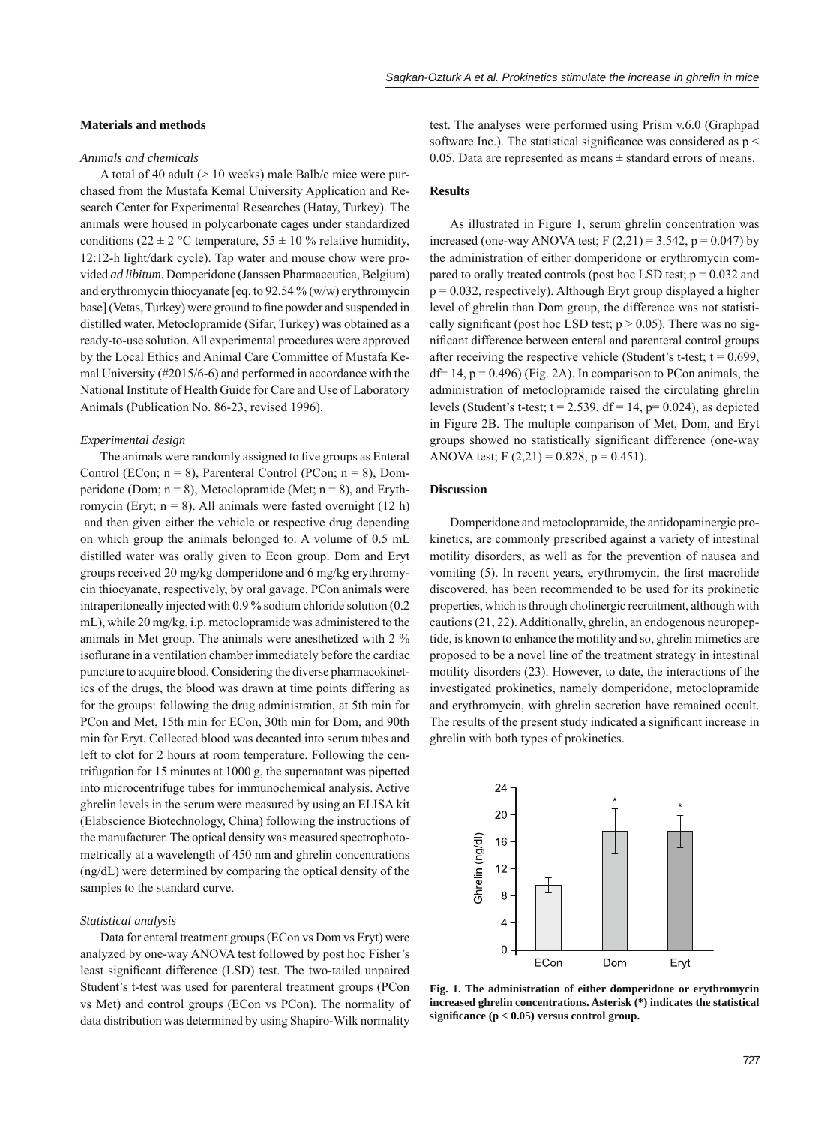# **Materials and methods**

# *Animals and chemicals*

A total of 40 adult (> 10 weeks) male Balb/c mice were purchased from the Mustafa Kemal University Application and Research Center for Experimental Researches (Hatay, Turkey). The animals were housed in polycarbonate cages under standardized conditions (22  $\pm$  2 °C temperature, 55  $\pm$  10 % relative humidity, 12:12-h light/dark cycle). Tap water and mouse chow were provided *ad libitum*. Domperidone (Janssen Pharmaceutica, Belgium) and erythromycin thiocyanate [eq. to 92.54 % (w/w) erythromycin base] (Vetas, Turkey) were ground to fine powder and suspended in distilled water. Metoclopramide (Sifar, Turkey) was obtained as a ready-to-use solution. All experimental procedures were approved by the Local Ethics and Animal Care Committee of Mustafa Kemal University (#2015/6-6) and performed in accordance with the National Institute of Health Guide for Care and Use of Laboratory Animals (Publication No. 86-23, revised 1996).

#### *Experimental design*

The animals were randomly assigned to five groups as Enteral Control (ECon;  $n = 8$ ), Parenteral Control (PCon;  $n = 8$ ), Domperidone (Dom;  $n = 8$ ), Metoclopramide (Met;  $n = 8$ ), and Erythromycin (Eryt;  $n = 8$ ). All animals were fasted overnight (12 h) and then given either the vehicle or respective drug depending on which group the animals belonged to. A volume of 0.5 mL distilled water was orally given to Econ group. Dom and Eryt groups received 20 mg/kg domperidone and 6 mg/kg erythromycin thiocyanate, respectively, by oral gavage. PCon animals were intraperitoneally injected with 0.9 % sodium chloride solution (0.2 mL), while 20 mg/kg, i.p. metoclopramide was administered to the animals in Met group. The animals were anesthetized with 2 % isoflurane in a ventilation chamber immediately before the cardiac puncture to acquire blood. Considering the diverse pharmacokinetics of the drugs, the blood was drawn at time points differing as for the groups: following the drug administration, at 5th min for PCon and Met, 15th min for ECon, 30th min for Dom, and 90th min for Eryt. Collected blood was decanted into serum tubes and left to clot for 2 hours at room temperature. Following the centrifugation for 15 minutes at 1000 g, the supernatant was pipetted into microcentrifuge tubes for immunochemical analysis. Active ghrelin levels in the serum were measured by using an ELISA kit (Elabscience Biotechnology, China) following the instructions of the manufacturer. The optical density was measured spectrophotometrically at a wavelength of 450 nm and ghrelin concentrations (ng/dL) were determined by comparing the optical density of the samples to the standard curve.

#### *Statistical analysis*

Data for enteral treatment groups (ECon vs Dom vs Eryt) were analyzed by one-way ANOVA test followed by post hoc Fisher's least significant difference (LSD) test. The two-tailed unpaired Student's t-test was used for parenteral treatment groups (PCon vs Met) and control groups (ECon vs PCon). The normality of data distribution was determined by using Shapiro-Wilk normality

test. The analyses were performed using Prism v.6.0 (Graphpad software Inc.). The statistical significance was considered as  $p <$ 0.05. Data are represented as means  $\pm$  standard errors of means.

# **Results**

As illustrated in Figure 1, serum ghrelin concentration was increased (one-way ANOVA test; F  $(2,21) = 3.542$ , p = 0.047) by the administration of either domperidone or erythromycin compared to orally treated controls (post hoc LSD test;  $p = 0.032$  and  $p = 0.032$ , respectively). Although Eryt group displayed a higher level of ghrelin than Dom group, the difference was not statistically significant (post hoc LSD test;  $p > 0.05$ ). There was no significant difference between enteral and parenteral control groups after receiving the respective vehicle (Student's t-test;  $t = 0.699$ ,  $df= 14$ ,  $p = 0.496$ ) (Fig. 2A). In comparison to PCon animals, the administration of metoclopramide raised the circulating ghrelin levels (Student's t-test;  $t = 2.539$ ,  $df = 14$ ,  $p = 0.024$ ), as depicted in Figure 2B. The multiple comparison of Met, Dom, and Eryt groups showed no statistically significant difference (one-way ANOVA test; F  $(2,21) = 0.828$ , p = 0.451).

#### **Discussion**

Domperidone and metoclopramide, the antidopaminergic prokinetics, are commonly prescribed against a variety of intestinal motility disorders, as well as for the prevention of nausea and vomiting (5). In recent years, erythromycin, the first macrolide discovered, has been recommended to be used for its prokinetic properties, which is through cholinergic recruitment, although with cautions (21, 22). Additionally, ghrelin, an endogenous neuropeptide, is known to enhance the motility and so, ghrelin mimetics are proposed to be a novel line of the treatment strategy in intestinal motility disorders (23). However, to date, the interactions of the investigated prokinetics, namely domperidone, metoclopramide and erythromycin, with ghrelin secretion have remained occult. The results of the present study indicated a significant increase in ghrelin with both types of prokinetics.



**Fig. 1. The administration of either domperidone or erythromycin increased ghrelin concentrations. Asterisk (\*) indicates the statistical**  significance  $(p < 0.05)$  versus control group.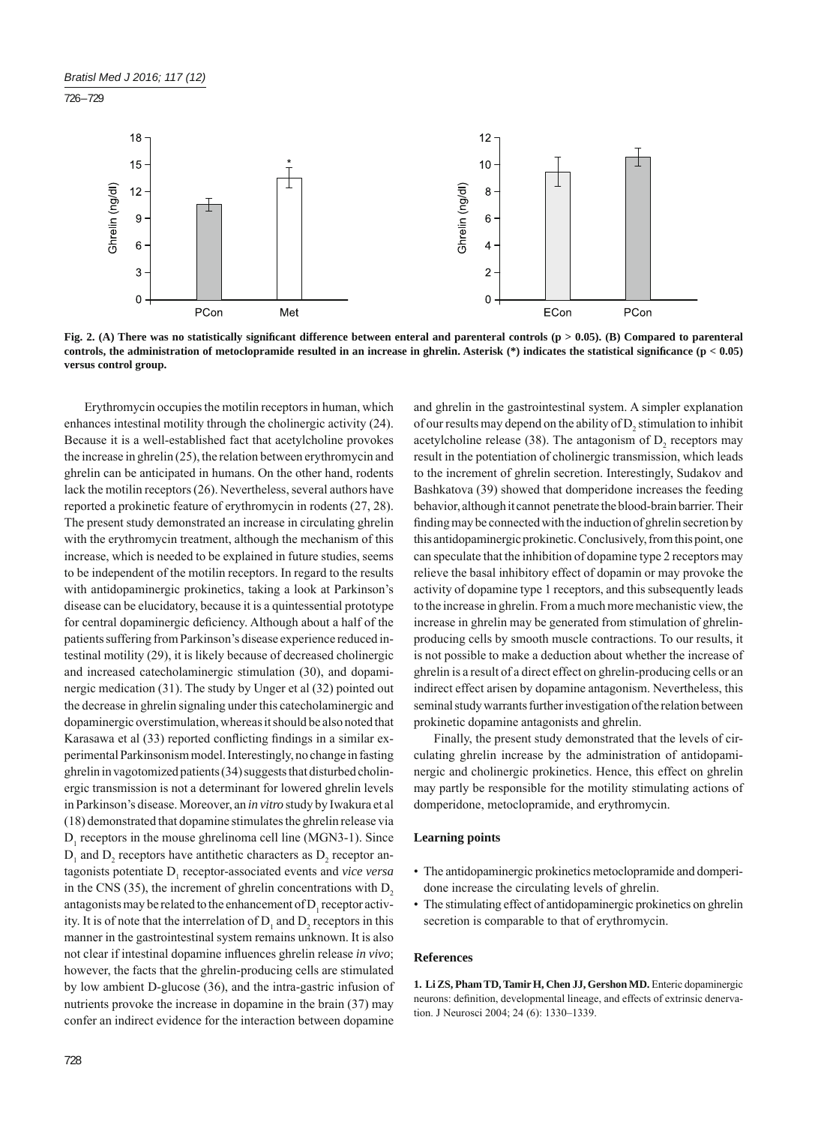

Fig. 2. (A) There was no statistically significant difference between enteral and parenteral controls ( $p > 0.05$ ). (B) Compared to parenteral **controls, the administration of metoclopramide resulted in an increase in ghrelin. Asterisk (\*) indicates the statistical signifi cance (p < 0.05) versus control group.**

Erythromycin occupies the motilin receptors in human, which enhances intestinal motility through the cholinergic activity (24). Because it is a well-established fact that acetylcholine provokes the increase in ghrelin (25), the relation between erythromycin and ghrelin can be anticipated in humans. On the other hand, rodents lack the motilin receptors (26). Nevertheless, several authors have reported a prokinetic feature of erythromycin in rodents (27, 28). The present study demonstrated an increase in circulating ghrelin with the erythromycin treatment, although the mechanism of this increase, which is needed to be explained in future studies, seems to be independent of the motilin receptors. In regard to the results with antidopaminergic prokinetics, taking a look at Parkinson's disease can be elucidatory, because it is a quintessential prototype for central dopaminergic deficiency. Although about a half of the patients suffering from Parkinson's disease experience reduced intestinal motility (29), it is likely because of decreased cholinergic and increased catecholaminergic stimulation (30), and dopaminergic medication (31). The study by Unger et al (32) pointed out the decrease in ghrelin signaling under this catecholaminergic and dopaminergic overstimulation, whereas it should be also noted that Karasawa et al (33) reported conflicting findings in a similar experimental Parkinsonism model. Interestingly, no change in fasting ghrelin in vagotomized patients (34) suggests that disturbed cholinergic transmission is not a determinant for lowered ghrelin levels in Parkinson's disease. Moreover, an *in vitro* study by Iwakura et al (18) demonstrated that dopamine stimulates the ghrelin release via  $D_1$  receptors in the mouse ghrelinoma cell line (MGN3-1). Since  $D_1$  and  $D_2$  receptors have antithetic characters as  $D_2$  receptor antagonists potentiate D<sub>1</sub> receptor-associated events and *vice versa* in the CNS  $(35)$ , the increment of ghrelin concentrations with  $D<sub>2</sub>$ antagonists may be related to the enhancement of  $D_1$  receptor activity. It is of note that the interrelation of  $D_1$  and  $D_2$  receptors in this manner in the gastrointestinal system remains unknown. It is also not clear if intestinal dopamine influences ghrelin release *in vivo*; however, the facts that the ghrelin-producing cells are stimulated by low ambient D-glucose (36), and the intra-gastric infusion of nutrients provoke the increase in dopamine in the brain (37) may confer an indirect evidence for the interaction between dopamine

and ghrelin in the gastrointestinal system. A simpler explanation of our results may depend on the ability of  $D_2$  stimulation to inhibit acetylcholine release (38). The antagonism of  $D_2$  receptors may result in the potentiation of cholinergic transmission, which leads to the increment of ghrelin secretion. Interestingly, Sudakov and Bashkatova (39) showed that domperidone increases the feeding behavior, although it cannot penetrate the blood-brain barrier. Their finding may be connected with the induction of ghrelin secretion by this antidopaminergic prokinetic. Conclusively, from this point, one can speculate that the inhibition of dopamine type 2 receptors may relieve the basal inhibitory effect of dopamin or may provoke the activity of dopamine type 1 receptors, and this subsequently leads to the increase in ghrelin. From a much more mechanistic view, the increase in ghrelin may be generated from stimulation of ghrelinproducing cells by smooth muscle contractions. To our results, it is not possible to make a deduction about whether the increase of ghrelin is a result of a direct effect on ghrelin-producing cells or an indirect effect arisen by dopamine antagonism. Nevertheless, this seminal study warrants further investigation of the relation between prokinetic dopamine antagonists and ghrelin.

Finally, the present study demonstrated that the levels of circulating ghrelin increase by the administration of antidopaminergic and cholinergic prokinetics. Hence, this effect on ghrelin may partly be responsible for the motility stimulating actions of domperidone, metoclopramide, and erythromycin.

#### **Learning points**

- The antidopaminergic prokinetics metoclopramide and domperidone increase the circulating levels of ghrelin.
- The stimulating effect of antidopaminergic prokinetics on ghrelin secretion is comparable to that of erythromycin.

# **References**

**1. Li ZS, Pham TD, Tamir H, Chen JJ, Gershon MD.** Enteric dopaminergic neurons: definition, developmental lineage, and effects of extrinsic denervation. J Neurosci 2004; 24 (6): 1330–1339.